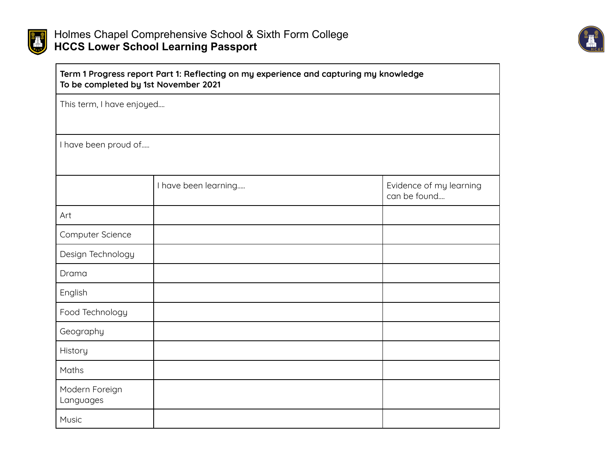



| Term 1 Progress report Part 1: Reflecting on my experience and capturing my knowledge<br>To be completed by 1st November 2021 |                      |                                         |  |  |
|-------------------------------------------------------------------------------------------------------------------------------|----------------------|-----------------------------------------|--|--|
| This term, I have enjoyed                                                                                                     |                      |                                         |  |  |
|                                                                                                                               |                      |                                         |  |  |
| I have been proud of                                                                                                          |                      |                                         |  |  |
|                                                                                                                               |                      |                                         |  |  |
|                                                                                                                               | I have been learning | Evidence of my learning<br>can be found |  |  |
| Art                                                                                                                           |                      |                                         |  |  |
| Computer Science                                                                                                              |                      |                                         |  |  |
| Design Technology                                                                                                             |                      |                                         |  |  |
| Drama                                                                                                                         |                      |                                         |  |  |
| English                                                                                                                       |                      |                                         |  |  |
| Food Technology                                                                                                               |                      |                                         |  |  |
| Geography                                                                                                                     |                      |                                         |  |  |
| History                                                                                                                       |                      |                                         |  |  |
| Maths                                                                                                                         |                      |                                         |  |  |
| Modern Foreign<br>Languages                                                                                                   |                      |                                         |  |  |
| Music                                                                                                                         |                      |                                         |  |  |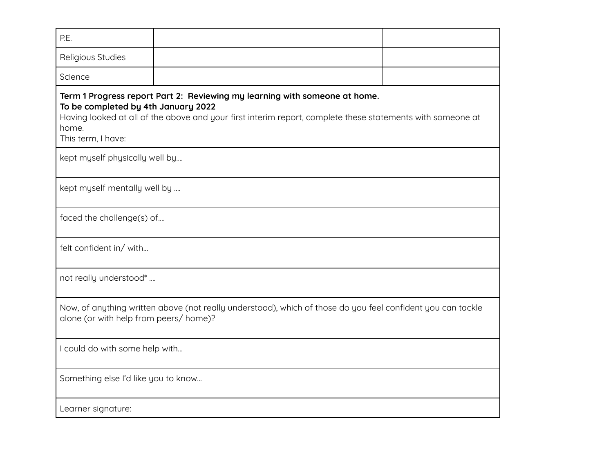| P.E.                                                                                                                                                                                                                                                           |  |  |  |  |  |
|----------------------------------------------------------------------------------------------------------------------------------------------------------------------------------------------------------------------------------------------------------------|--|--|--|--|--|
| Religious Studies                                                                                                                                                                                                                                              |  |  |  |  |  |
| Science                                                                                                                                                                                                                                                        |  |  |  |  |  |
| Term 1 Progress report Part 2: Reviewing my learning with someone at home.<br>To be completed by 4th January 2022<br>Having looked at all of the above and your first interim report, complete these statements with someone at<br>home.<br>This term, I have: |  |  |  |  |  |
| kept myself physically well by                                                                                                                                                                                                                                 |  |  |  |  |  |
| kept myself mentally well by                                                                                                                                                                                                                                   |  |  |  |  |  |
| faced the challenge(s) of                                                                                                                                                                                                                                      |  |  |  |  |  |
| felt confident in/ with                                                                                                                                                                                                                                        |  |  |  |  |  |
| not really understood*                                                                                                                                                                                                                                         |  |  |  |  |  |
| Now, of anything written above (not really understood), which of those do you feel confident you can tackle<br>alone (or with help from peers/ home)?                                                                                                          |  |  |  |  |  |
| I could do with some help with                                                                                                                                                                                                                                 |  |  |  |  |  |
| Something else I'd like you to know                                                                                                                                                                                                                            |  |  |  |  |  |
| Learner signature:                                                                                                                                                                                                                                             |  |  |  |  |  |